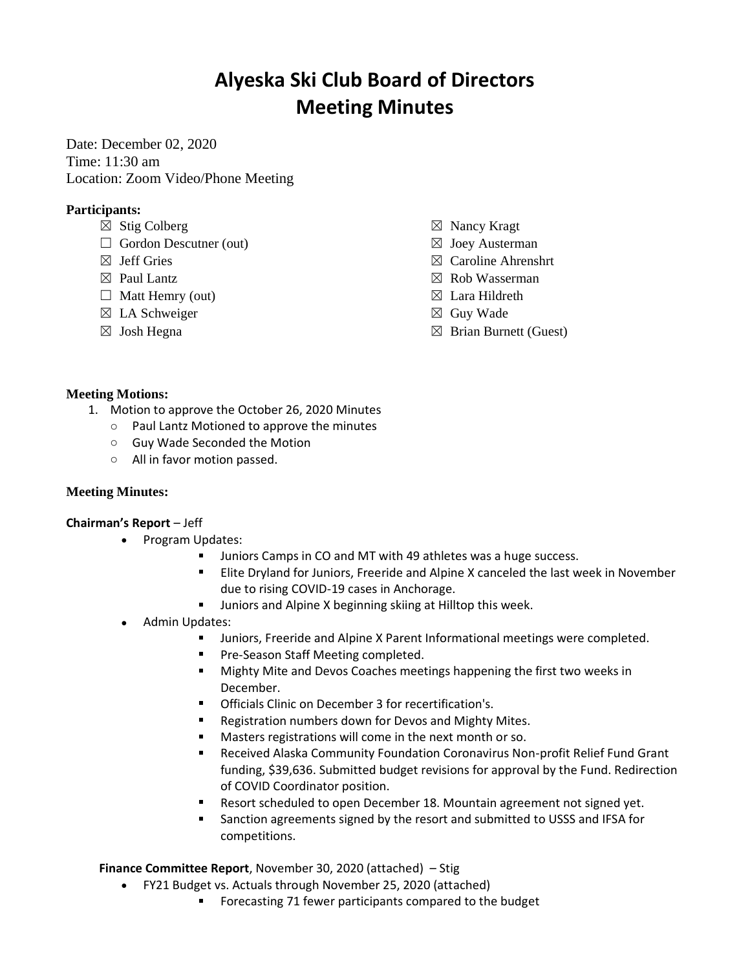# **Alyeska Ski Club Board of Directors Meeting Minutes**

Date: December 02, 2020 Time: 11:30 am Location: Zoom Video/Phone Meeting

## **Participants:**

- $\boxtimes$  Stig Colberg
- $\Box$  Gordon Descutner (out)
- $\boxtimes$  Jeff Gries
- $\boxtimes$  Paul Lantz
- $\Box$  Matt Hemry (out)
- $\boxtimes$  LA Schweiger
- ☒ Josh Hegna
- ☒ Nancy Kragt
- $\boxtimes$  Joey Austerman
- ☒ Caroline Ahrenshrt
- ☒ Rob Wasserman
- $\boxtimes$  Lara Hildreth
- ☒ Guy Wade
- $\boxtimes$  Brian Burnett (Guest)

### **Meeting Motions:**

- 1. Motion to approve the October 26, 2020 Minutes
	- o Paul Lantz Motioned to approve the minutes
	- o Guy Wade Seconded the Motion
	- o All in favor motion passed.

## **Meeting Minutes:**

#### **Chairman's Report** – Jeff

- Program Updates:
	- Juniors Camps in CO and MT with 49 athletes was a huge success.
	- Elite Dryland for Juniors, Freeride and Alpine X canceled the last week in November due to rising COVID-19 cases in Anchorage.
	- Juniors and Alpine X beginning skiing at Hilltop this week.
- Admin Updates:
	- Juniors, Freeride and Alpine X Parent Informational meetings were completed.
	- Pre-Season Staff Meeting completed.
	- $\mathbf{r}$ Mighty Mite and Devos Coaches meetings happening the first two weeks in December.
	- **Officials Clinic on December 3 for recertification's.**
	- $\blacksquare$ Registration numbers down for Devos and Mighty Mites.
	- Masters registrations will come in the next month or so.
	- $\blacksquare$ Received Alaska Community Foundation Coronavirus Non-profit Relief Fund Grant funding, \$39,636. Submitted budget revisions for approval by the Fund. Redirection of COVID Coordinator position.
	- Resort scheduled to open December 18. Mountain agreement not signed yet.
	- Sanction agreements signed by the resort and submitted to USSS and IFSA for competitions.

**Finance Committee Report**, November 30, 2020 (attached) – Stig

- FY21 Budget vs. Actuals through November 25, 2020 (attached)
	- Forecasting 71 fewer participants compared to the budget $\blacksquare$